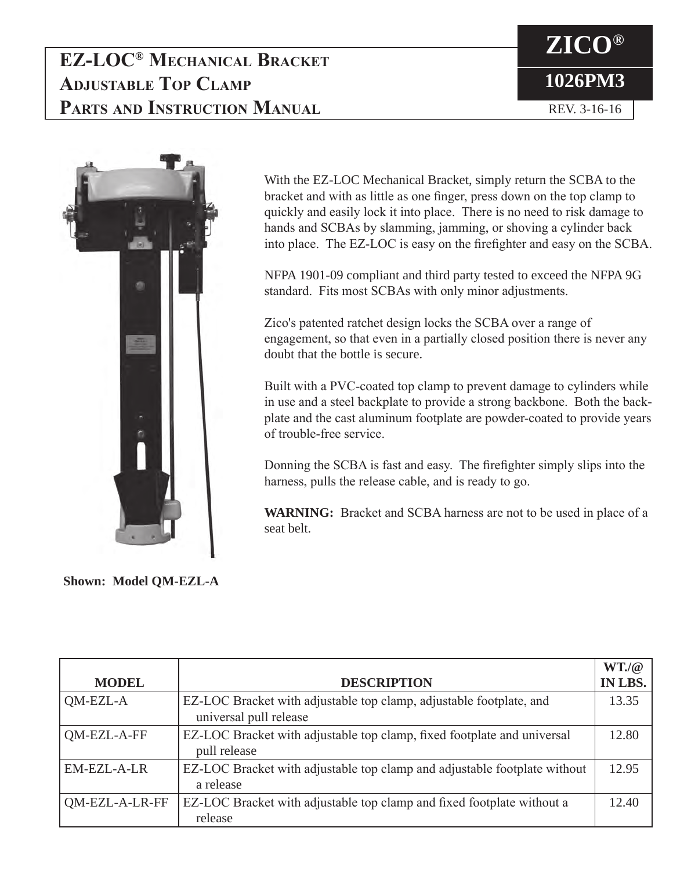### **EZ-LOC® Mechanical Bracket Adjustable Top Clamp Parts and Instruction Manual**

# **ZICO® 1026PM3** REV. 3-16-16



With the EZ-LOC Mechanical Bracket, simply return the SCBA to the bracket and with as little as one finger, press down on the top clamp to quickly and easily lock it into place. There is no need to risk damage to hands and SCBAs by slamming, jamming, or shoving a cylinder back into place. The EZ-LOC is easy on the firefighter and easy on the SCBA.

NFPA 1901-09 compliant and third party tested to exceed the NFPA 9G standard. Fits most SCBAs with only minor adjustments.

Zico's patented ratchet design locks the SCBA over a range of engagement, so that even in a partially closed position there is never any doubt that the bottle is secure.

Built with a PVC-coated top clamp to prevent damage to cylinders while in use and a steel backplate to provide a strong backbone. Both the backplate and the cast aluminum footplate are powder-coated to provide years of trouble-free service.

Donning the SCBA is fast and easy. The firefighter simply slips into the harness, pulls the release cable, and is ready to go.

**WARNING:** Bracket and SCBA harness are not to be used in place of a seat belt.

**Shown: Model QM-EZL-A**

|                    |                                                                           | WT./@          |
|--------------------|---------------------------------------------------------------------------|----------------|
| <b>MODEL</b>       | <b>DESCRIPTION</b>                                                        | <b>IN LBS.</b> |
| QM-EZL-A           | EZ-LOC Bracket with adjustable top clamp, adjustable footplate, and       | 13.35          |
|                    | universal pull release                                                    |                |
| QM-EZL-A-FF        | EZ-LOC Bracket with adjustable top clamp, fixed footplate and universal   | 12.80          |
|                    | pull release                                                              |                |
| <b>EM-EZL-A-LR</b> | EZ-LOC Bracket with adjustable top clamp and adjustable footplate without | 12.95          |
|                    | a release                                                                 |                |
| QM-EZL-A-LR-FF     | EZ-LOC Bracket with adjustable top clamp and fixed footplate without a    | 12.40          |
|                    | release                                                                   |                |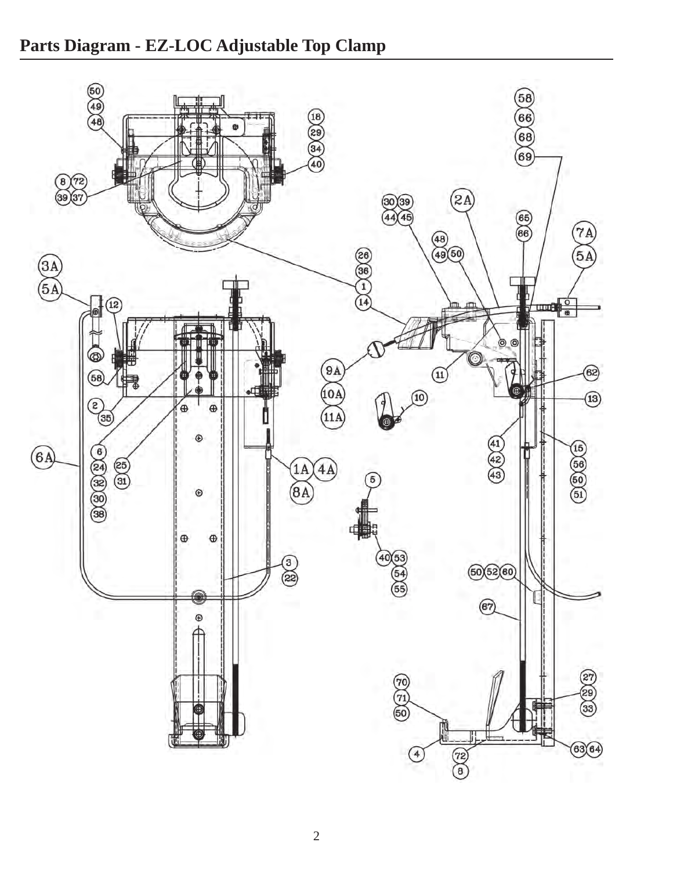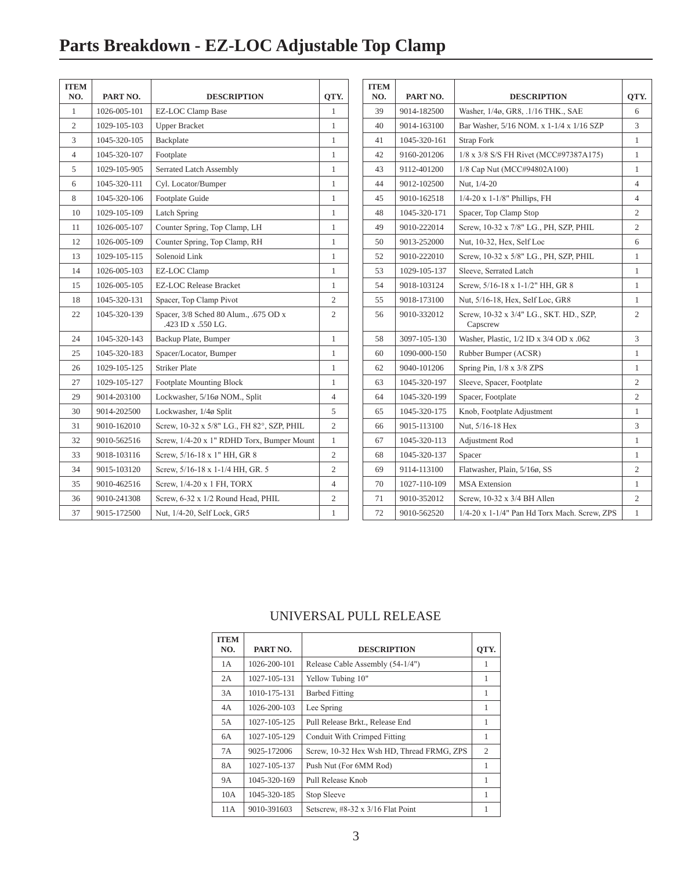# **Parts Breakdown - EZ-LOC Adjustable Top Clamp**

| 1026-005-101<br>EZ-LOC Clamp Base<br>1<br>1<br>$\mathfrak{2}$<br>1029-105-103<br><b>Upper Bracket</b><br>1<br>3<br>1045-320-105<br>Backplate<br>1<br>$\overline{4}$<br>1045-320-107<br>Footplate<br>1<br>5<br>1029-105-905<br>Serrated Latch Assembly<br>1<br>6<br>1045-320-111<br>Cyl. Locator/Bumper<br>1<br>8<br>1045-320-106<br>Footplate Guide<br>1<br>10<br>1029-105-109<br>$\mathbf{1}$<br>Latch Spring<br>11<br>1026-005-107<br>Counter Spring, Top Clamp, LH<br>1<br>12<br>1026-005-109<br>Counter Spring, Top Clamp, RH<br>1<br>1029-105-115<br>Solenoid Link<br>1<br>13<br>14<br>1026-005-103<br>EZ-LOC Clamp<br>1<br><b>EZ-LOC Release Bracket</b><br>15<br>1026-005-105<br>1<br>18<br>1045-320-131<br>Spacer, Top Clamp Pivot<br>2<br>22<br>Spacer, 3/8 Sched 80 Alum., .675 OD x<br>$\overline{c}$<br>1045-320-139<br>.423 ID x .550 LG.<br>24<br>1045-320-143<br>Backup Plate, Bumper<br>1<br>25<br>1045-320-183<br>Spacer/Locator, Bumper<br>1<br>1029-105-125<br><b>Striker Plate</b><br>26<br>1<br>27<br>1029-105-127<br><b>Footplate Mounting Block</b><br>1<br>29<br>Lockwasher, 5/16ø NOM., Split<br>9014-203100<br>4<br>30<br>9014-202500<br>5<br>Lockwasher, 1/4ø Split<br>Screw, 10-32 x 5/8" LG., FH 82°, SZP, PHIL<br>31<br>9010-162010<br>2<br>32<br>Screw, 1/4-20 x 1" RDHD Torx, Bumper Mount<br>9010-562516<br>1<br>Screw, 5/16-18 x 1" HH, GR 8<br>$\overline{c}$<br>33<br>9018-103116<br>Screw, 5/16-18 x 1-1/4 HH, GR. 5<br>$\overline{c}$<br>34<br>9015-103120<br>35<br>9010-462516<br>Screw, 1/4-20 x 1 FH, TORX<br>4<br>Screw, 6-32 x 1/2 Round Head, PHIL<br>$\overline{2}$<br>36<br>9010-241308<br>37<br>9015-172500<br>Nut, 1/4-20, Self Lock, GR5<br>1 | <b>ITEM</b><br>NO. | PART NO. | <b>DESCRIPTION</b> | QTY. |
|------------------------------------------------------------------------------------------------------------------------------------------------------------------------------------------------------------------------------------------------------------------------------------------------------------------------------------------------------------------------------------------------------------------------------------------------------------------------------------------------------------------------------------------------------------------------------------------------------------------------------------------------------------------------------------------------------------------------------------------------------------------------------------------------------------------------------------------------------------------------------------------------------------------------------------------------------------------------------------------------------------------------------------------------------------------------------------------------------------------------------------------------------------------------------------------------------------------------------------------------------------------------------------------------------------------------------------------------------------------------------------------------------------------------------------------------------------------------------------------------------------------------------------------------------------------------------------------------------------------------------------------------------------------------------------------------|--------------------|----------|--------------------|------|
|                                                                                                                                                                                                                                                                                                                                                                                                                                                                                                                                                                                                                                                                                                                                                                                                                                                                                                                                                                                                                                                                                                                                                                                                                                                                                                                                                                                                                                                                                                                                                                                                                                                                                                |                    |          |                    |      |
|                                                                                                                                                                                                                                                                                                                                                                                                                                                                                                                                                                                                                                                                                                                                                                                                                                                                                                                                                                                                                                                                                                                                                                                                                                                                                                                                                                                                                                                                                                                                                                                                                                                                                                |                    |          |                    |      |
|                                                                                                                                                                                                                                                                                                                                                                                                                                                                                                                                                                                                                                                                                                                                                                                                                                                                                                                                                                                                                                                                                                                                                                                                                                                                                                                                                                                                                                                                                                                                                                                                                                                                                                |                    |          |                    |      |
|                                                                                                                                                                                                                                                                                                                                                                                                                                                                                                                                                                                                                                                                                                                                                                                                                                                                                                                                                                                                                                                                                                                                                                                                                                                                                                                                                                                                                                                                                                                                                                                                                                                                                                |                    |          |                    |      |
|                                                                                                                                                                                                                                                                                                                                                                                                                                                                                                                                                                                                                                                                                                                                                                                                                                                                                                                                                                                                                                                                                                                                                                                                                                                                                                                                                                                                                                                                                                                                                                                                                                                                                                |                    |          |                    |      |
|                                                                                                                                                                                                                                                                                                                                                                                                                                                                                                                                                                                                                                                                                                                                                                                                                                                                                                                                                                                                                                                                                                                                                                                                                                                                                                                                                                                                                                                                                                                                                                                                                                                                                                |                    |          |                    |      |
|                                                                                                                                                                                                                                                                                                                                                                                                                                                                                                                                                                                                                                                                                                                                                                                                                                                                                                                                                                                                                                                                                                                                                                                                                                                                                                                                                                                                                                                                                                                                                                                                                                                                                                |                    |          |                    |      |
|                                                                                                                                                                                                                                                                                                                                                                                                                                                                                                                                                                                                                                                                                                                                                                                                                                                                                                                                                                                                                                                                                                                                                                                                                                                                                                                                                                                                                                                                                                                                                                                                                                                                                                |                    |          |                    |      |
|                                                                                                                                                                                                                                                                                                                                                                                                                                                                                                                                                                                                                                                                                                                                                                                                                                                                                                                                                                                                                                                                                                                                                                                                                                                                                                                                                                                                                                                                                                                                                                                                                                                                                                |                    |          |                    |      |
|                                                                                                                                                                                                                                                                                                                                                                                                                                                                                                                                                                                                                                                                                                                                                                                                                                                                                                                                                                                                                                                                                                                                                                                                                                                                                                                                                                                                                                                                                                                                                                                                                                                                                                |                    |          |                    |      |
|                                                                                                                                                                                                                                                                                                                                                                                                                                                                                                                                                                                                                                                                                                                                                                                                                                                                                                                                                                                                                                                                                                                                                                                                                                                                                                                                                                                                                                                                                                                                                                                                                                                                                                |                    |          |                    |      |
|                                                                                                                                                                                                                                                                                                                                                                                                                                                                                                                                                                                                                                                                                                                                                                                                                                                                                                                                                                                                                                                                                                                                                                                                                                                                                                                                                                                                                                                                                                                                                                                                                                                                                                |                    |          |                    |      |
|                                                                                                                                                                                                                                                                                                                                                                                                                                                                                                                                                                                                                                                                                                                                                                                                                                                                                                                                                                                                                                                                                                                                                                                                                                                                                                                                                                                                                                                                                                                                                                                                                                                                                                |                    |          |                    |      |
|                                                                                                                                                                                                                                                                                                                                                                                                                                                                                                                                                                                                                                                                                                                                                                                                                                                                                                                                                                                                                                                                                                                                                                                                                                                                                                                                                                                                                                                                                                                                                                                                                                                                                                |                    |          |                    |      |
|                                                                                                                                                                                                                                                                                                                                                                                                                                                                                                                                                                                                                                                                                                                                                                                                                                                                                                                                                                                                                                                                                                                                                                                                                                                                                                                                                                                                                                                                                                                                                                                                                                                                                                |                    |          |                    |      |
|                                                                                                                                                                                                                                                                                                                                                                                                                                                                                                                                                                                                                                                                                                                                                                                                                                                                                                                                                                                                                                                                                                                                                                                                                                                                                                                                                                                                                                                                                                                                                                                                                                                                                                |                    |          |                    |      |
|                                                                                                                                                                                                                                                                                                                                                                                                                                                                                                                                                                                                                                                                                                                                                                                                                                                                                                                                                                                                                                                                                                                                                                                                                                                                                                                                                                                                                                                                                                                                                                                                                                                                                                |                    |          |                    |      |
|                                                                                                                                                                                                                                                                                                                                                                                                                                                                                                                                                                                                                                                                                                                                                                                                                                                                                                                                                                                                                                                                                                                                                                                                                                                                                                                                                                                                                                                                                                                                                                                                                                                                                                |                    |          |                    |      |
|                                                                                                                                                                                                                                                                                                                                                                                                                                                                                                                                                                                                                                                                                                                                                                                                                                                                                                                                                                                                                                                                                                                                                                                                                                                                                                                                                                                                                                                                                                                                                                                                                                                                                                |                    |          |                    |      |
|                                                                                                                                                                                                                                                                                                                                                                                                                                                                                                                                                                                                                                                                                                                                                                                                                                                                                                                                                                                                                                                                                                                                                                                                                                                                                                                                                                                                                                                                                                                                                                                                                                                                                                |                    |          |                    |      |
|                                                                                                                                                                                                                                                                                                                                                                                                                                                                                                                                                                                                                                                                                                                                                                                                                                                                                                                                                                                                                                                                                                                                                                                                                                                                                                                                                                                                                                                                                                                                                                                                                                                                                                |                    |          |                    |      |
|                                                                                                                                                                                                                                                                                                                                                                                                                                                                                                                                                                                                                                                                                                                                                                                                                                                                                                                                                                                                                                                                                                                                                                                                                                                                                                                                                                                                                                                                                                                                                                                                                                                                                                |                    |          |                    |      |
|                                                                                                                                                                                                                                                                                                                                                                                                                                                                                                                                                                                                                                                                                                                                                                                                                                                                                                                                                                                                                                                                                                                                                                                                                                                                                                                                                                                                                                                                                                                                                                                                                                                                                                |                    |          |                    |      |
|                                                                                                                                                                                                                                                                                                                                                                                                                                                                                                                                                                                                                                                                                                                                                                                                                                                                                                                                                                                                                                                                                                                                                                                                                                                                                                                                                                                                                                                                                                                                                                                                                                                                                                |                    |          |                    |      |
|                                                                                                                                                                                                                                                                                                                                                                                                                                                                                                                                                                                                                                                                                                                                                                                                                                                                                                                                                                                                                                                                                                                                                                                                                                                                                                                                                                                                                                                                                                                                                                                                                                                                                                |                    |          |                    |      |
|                                                                                                                                                                                                                                                                                                                                                                                                                                                                                                                                                                                                                                                                                                                                                                                                                                                                                                                                                                                                                                                                                                                                                                                                                                                                                                                                                                                                                                                                                                                                                                                                                                                                                                |                    |          |                    |      |
|                                                                                                                                                                                                                                                                                                                                                                                                                                                                                                                                                                                                                                                                                                                                                                                                                                                                                                                                                                                                                                                                                                                                                                                                                                                                                                                                                                                                                                                                                                                                                                                                                                                                                                |                    |          |                    |      |
|                                                                                                                                                                                                                                                                                                                                                                                                                                                                                                                                                                                                                                                                                                                                                                                                                                                                                                                                                                                                                                                                                                                                                                                                                                                                                                                                                                                                                                                                                                                                                                                                                                                                                                |                    |          |                    |      |

| <b>ITEM</b><br>NO. | PART NO.     | <b>DESCRIPTION</b>                                  | QTY.           |
|--------------------|--------------|-----------------------------------------------------|----------------|
| 39                 | 9014-182500  | Washer, 1/4ø, GR8, .1/16 THK., SAE                  | 6              |
| 40                 | 9014-163100  | Bar Washer, 5/16 NOM. x 1-1/4 x 1/16 SZP            | 3              |
| 41                 | 1045-320-161 | <b>Strap Fork</b>                                   | $\mathbf{1}$   |
| 42                 | 9160-201206  | 1/8 x 3/8 S/S FH Rivet (MCC#97387A175)              | $\mathbf{1}$   |
| 43                 | 9112-401200  | 1/8 Cap Nut (MCC#94802A100)                         | 1              |
| 44                 | 9012-102500  | Nut, 1/4-20                                         | 4              |
| 45                 | 9010-162518  | $1/4 - 20 \times 1 - 1/8$ " Phillips, FH            | 4              |
| 48                 | 1045-320-171 | Spacer, Top Clamp Stop                              | 2              |
| 49                 | 9010-222014  | Screw, 10-32 x 7/8" LG., PH, SZP, PHIL              | $\overline{c}$ |
| 50                 | 9013-252000  | Nut, 10-32, Hex, Self Loc                           | 6              |
| 52                 | 9010-222010  | Screw, 10-32 x 5/8" LG., PH, SZP, PHIL              | 1              |
| 53                 | 1029-105-137 | Sleeve, Serrated Latch                              | $\mathbf{1}$   |
| 54                 | 9018-103124  | Screw, 5/16-18 x 1-1/2" HH, GR 8                    | 1              |
| 55                 | 9018-173100  | Nut, 5/16-18, Hex, Self Loc, GR8                    | 1              |
| 56                 | 9010-332012  | Screw, 10-32 x 3/4" LG., SKT. HD., SZP,<br>Capscrew | $\overline{c}$ |
| 58                 | 3097-105-130 | Washer, Plastic, 1/2 ID x 3/4 OD x .062             | 3              |
| 60                 | 1090-000-150 | Rubber Bumper (ACSR)                                | $\mathbf{1}$   |
| 62                 | 9040-101206  | Spring Pin, 1/8 x 3/8 ZPS                           | 1              |
| 63                 | 1045-320-197 | Sleeve, Spacer, Footplate                           | $\overline{c}$ |
| 64                 | 1045-320-199 | Spacer, Footplate                                   | $\overline{c}$ |
| 65                 | 1045-320-175 | Knob, Footplate Adjustment                          | $\mathbf{1}$   |
| 66                 | 9015-113100  | Nut, 5/16-18 Hex                                    | 3              |
| 67                 | 1045-320-113 | Adjustment Rod                                      | 1              |
| 68                 | 1045-320-137 | Spacer                                              | $\mathbf{1}$   |
| 69                 | 9114-113100  | Flatwasher, Plain, 5/16ø, SS                        | 2              |
| 70                 | 1027-110-109 | <b>MSA</b> Extension                                | 1              |
| 71                 | 9010-352012  | Screw, 10-32 x 3/4 BH Allen                         | 2              |
| 72                 | 9010-562520  | 1/4-20 x 1-1/4" Pan Hd Torx Mach. Screw, ZPS        | $\mathbf{1}$   |

#### UNIVERSAL PULL RELEASE

| <b>ITEM</b><br>NO. | PART NO.     | <b>DESCRIPTION</b>                        | OTY. |
|--------------------|--------------|-------------------------------------------|------|
| 1 A                | 1026-200-101 | Release Cable Assembly (54-1/4")          | 1    |
| 2A                 | 1027-105-131 | Yellow Tubing 10"                         | 1    |
| 3A                 | 1010-175-131 | <b>Barbed Fitting</b>                     | 1    |
| 4A                 | 1026-200-103 | Lee Spring                                | 1    |
| 5A                 | 1027-105-125 | Pull Release Brkt., Release End           | 1    |
| 6A                 | 1027-105-129 | Conduit With Crimped Fitting              | 1    |
| 7A                 | 9025-172006  | Screw, 10-32 Hex Wsh HD, Thread FRMG, ZPS | 2    |
| 8A                 | 1027-105-137 | Push Nut (For 6MM Rod)                    | 1    |
| <b>9A</b>          | 1045-320-169 | Pull Release Knob                         | 1    |
| 10A                | 1045-320-185 | Stop Sleeve                               | 1    |
| 11A                | 9010-391603  | Setscrew, $\#8-32 \times 3/16$ Flat Point | 1    |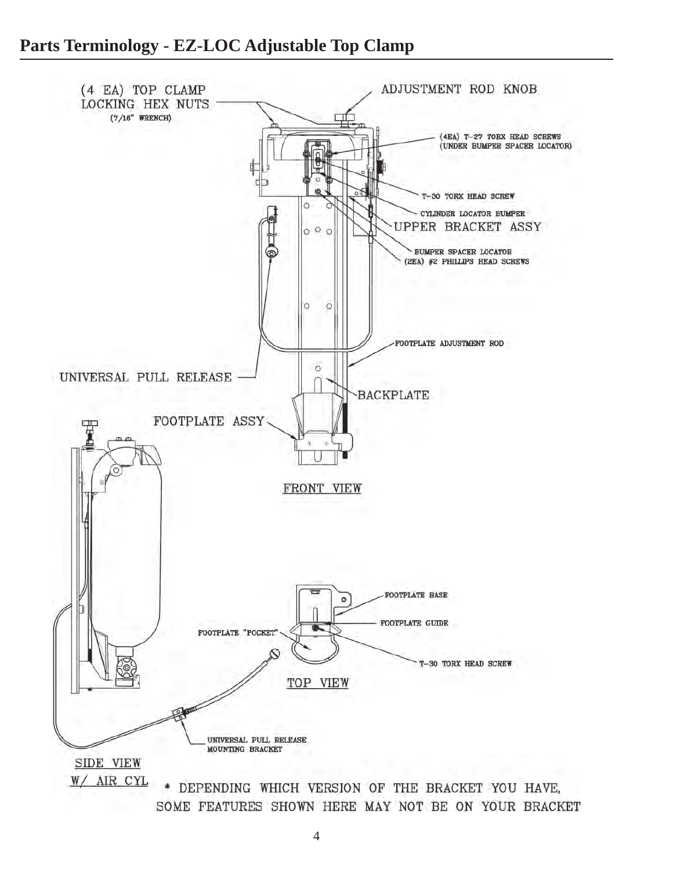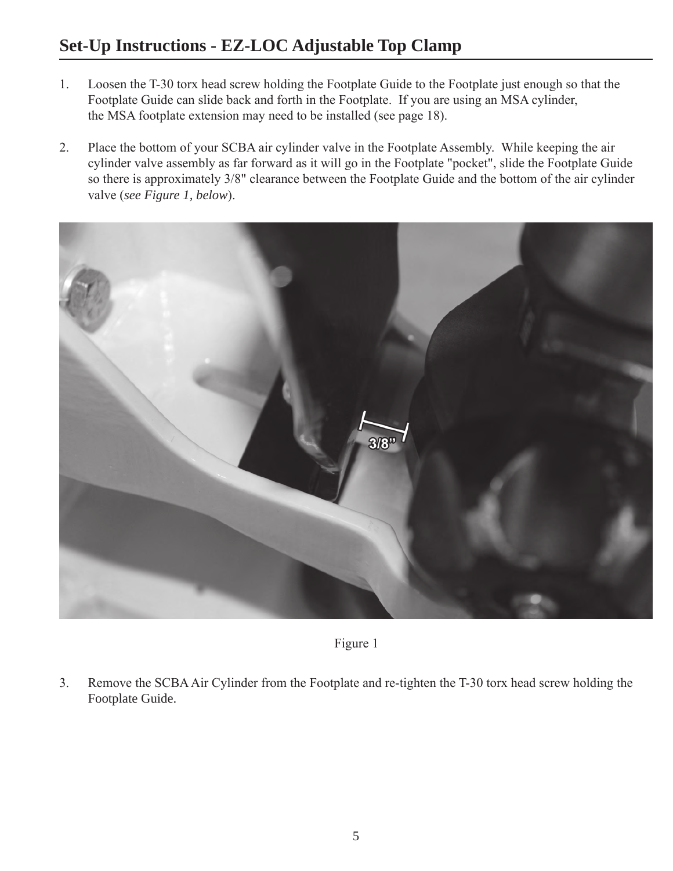#### **Set-Up Instructions - EZ-LOC Adjustable Top Clamp**

- 1. Loosen the T-30 torx head screw holding the Footplate Guide to the Footplate just enough so that the Footplate Guide can slide back and forth in the Footplate. If you are using an MSA cylinder, the MSA footplate extension may need to be installed (see page 18).
- 2. Place the bottom of your SCBA air cylinder valve in the Footplate Assembly. While keeping the air cylinder valve assembly as far forward as it will go in the Footplate "pocket", slide the Footplate Guide so there is approximately 3/8" clearance between the Footplate Guide and the bottom of the air cylinder valve (*see Figure 1, below*).



Figure 1

3. Remove the SCBA Air Cylinder from the Footplate and re-tighten the T-30 torx head screw holding the Footplate Guide.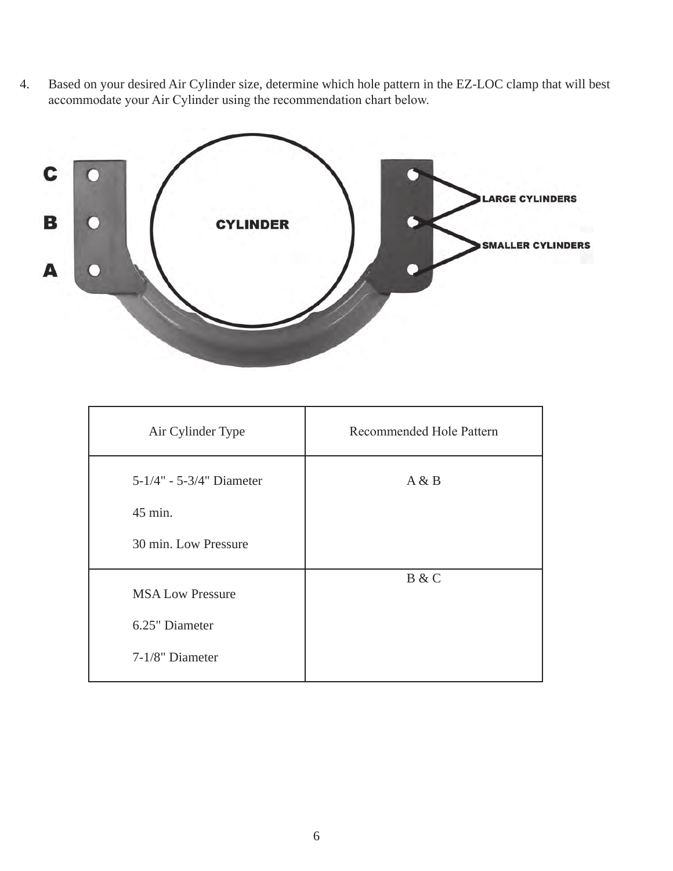4. Based on your desired Air Cylinder size, determine which hole pattern in the EZ-LOC clamp that will best accommodate your Air Cylinder using the recommendation chart below.



| Air Cylinder Type        | Recommended Hole Pattern |  |  |
|--------------------------|--------------------------|--|--|
| 5-1/4" - 5-3/4" Diameter | A & B                    |  |  |
| 45 min.                  |                          |  |  |
| 30 min. Low Pressure     |                          |  |  |
| <b>MSA Low Pressure</b>  | B & C                    |  |  |
| 6.25" Diameter           |                          |  |  |
| 7-1/8" Diameter          |                          |  |  |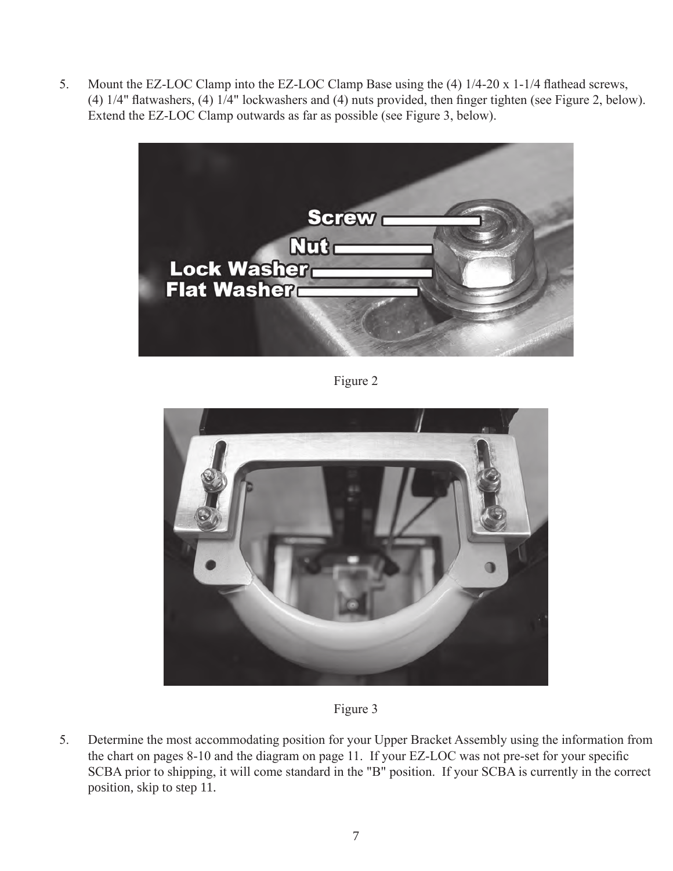5. Mount the EZ-LOC Clamp into the EZ-LOC Clamp Base using the (4) 1/4-20 x 1-1/4 flathead screws, (4) 1/4" flatwashers, (4) 1/4" lockwashers and (4) nuts provided, then finger tighten (see Figure 2, below). Extend the EZ-LOC Clamp outwards as far as possible (see Figure 3, below).



Figure 2





5. Determine the most accommodating position for your Upper Bracket Assembly using the information from the chart on pages 8-10 and the diagram on page 11. If your EZ-LOC was not pre-set for your specific SCBA prior to shipping, it will come standard in the "B" position. If your SCBA is currently in the correct position, skip to step 11.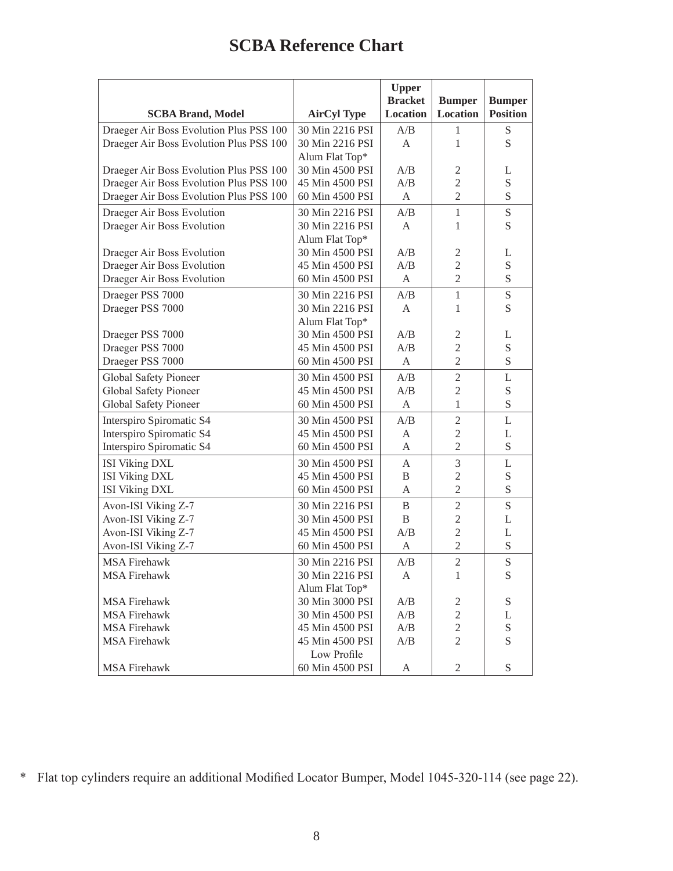### **SCBA Reference Chart**

|                                         |                    | <b>Upper</b><br><b>Bracket</b> | <b>Bumper</b>   | <b>Bumper</b>   |
|-----------------------------------------|--------------------|--------------------------------|-----------------|-----------------|
| <b>SCBA Brand, Model</b>                | <b>AirCyl Type</b> | Location                       | <b>Location</b> | <b>Position</b> |
| Draeger Air Boss Evolution Plus PSS 100 | 30 Min 2216 PSI    | A/B                            | 1               | S               |
| Draeger Air Boss Evolution Plus PSS 100 | 30 Min 2216 PSI    | A                              | 1               | S               |
|                                         | Alum Flat Top*     |                                |                 |                 |
| Draeger Air Boss Evolution Plus PSS 100 | 30 Min 4500 PSI    | A/B                            | $\overline{2}$  | L               |
| Draeger Air Boss Evolution Plus PSS 100 | 45 Min 4500 PSI    | A/B                            | $\overline{2}$  | S               |
| Draeger Air Boss Evolution Plus PSS 100 | 60 Min 4500 PSI    | A                              | $\overline{2}$  | S               |
| Draeger Air Boss Evolution              | 30 Min 2216 PSI    | A/B                            | $\mathbf{1}$    | S               |
| Draeger Air Boss Evolution              | 30 Min 2216 PSI    | A                              | 1               | S               |
|                                         | Alum Flat Top*     |                                |                 |                 |
| Draeger Air Boss Evolution              | 30 Min 4500 PSI    | A/B                            | $\overline{2}$  | L               |
| Draeger Air Boss Evolution              | 45 Min 4500 PSI    | A/B                            | $\overline{2}$  | S               |
| Draeger Air Boss Evolution              | 60 Min 4500 PSI    | A                              | $\overline{2}$  | S               |
| Draeger PSS 7000                        | 30 Min 2216 PSI    | A/B                            | $\mathbf{1}$    | S               |
| Draeger PSS 7000                        | 30 Min 2216 PSI    | A                              | 1               | S               |
|                                         | Alum Flat Top*     |                                |                 |                 |
| Draeger PSS 7000                        | 30 Min 4500 PSI    | A/B                            | $\mathfrak{2}$  | L               |
| Draeger PSS 7000                        | 45 Min 4500 PSI    | A/B                            | $\overline{2}$  | S               |
| Draeger PSS 7000                        | 60 Min 4500 PSI    | A                              | $\overline{2}$  | S               |
| Global Safety Pioneer                   | 30 Min 4500 PSI    | A/B                            | $\overline{2}$  | L               |
| Global Safety Pioneer                   | 45 Min 4500 PSI    | A/B                            | $\mathfrak{2}$  | S               |
| Global Safety Pioneer                   | 60 Min 4500 PSI    | A                              | $\mathbf{1}$    | S               |
| Interspiro Spiromatic S4                | 30 Min 4500 PSI    | A/B                            | $\mathfrak{2}$  | L               |
| Interspiro Spiromatic S4                | 45 Min 4500 PSI    | A                              | $\overline{2}$  | L               |
| Interspiro Spiromatic S4                | 60 Min 4500 PSI    | A                              | $\overline{2}$  | S               |
| <b>ISI Viking DXL</b>                   | 30 Min 4500 PSI    | A                              | 3               | L               |
| <b>ISI Viking DXL</b>                   | 45 Min 4500 PSI    | B                              | $\mathfrak{2}$  | S               |
| <b>ISI Viking DXL</b>                   | 60 Min 4500 PSI    | A                              | $\overline{2}$  | S               |
| Avon-ISI Viking Z-7                     | 30 Min 2216 PSI    | B                              | $\overline{2}$  | S               |
| Avon-ISI Viking Z-7                     | 30 Min 4500 PSI    | B                              | $\overline{2}$  | L               |
| Avon-ISI Viking Z-7                     | 45 Min 4500 PSI    | A/B                            | $\overline{2}$  | L               |
| Avon-ISI Viking Z-7                     | 60 Min 4500 PSI    | A                              | $\overline{2}$  | S               |
| <b>MSA Firehawk</b>                     | 30 Min 2216 PSI    | A/B                            | $\overline{2}$  | S               |
| <b>MSA Firehawk</b>                     | 30 Min 2216 PSI    | A                              | 1               | S               |
|                                         | Alum Flat Top*     |                                |                 |                 |
| <b>MSA Firehawk</b>                     | 30 Min 3000 PSI    | A/B                            | 2               | S               |
| <b>MSA Firehawk</b>                     | 30 Min 4500 PSI    | A/B                            | $\sqrt{2}$      | L               |
| <b>MSA Firehawk</b>                     | 45 Min 4500 PSI    | A/B                            | $\mathbf{2}$    | ${\bf S}$       |
| <b>MSA Firehawk</b>                     | 45 Min 4500 PSI    | A/B                            | $\overline{2}$  | S               |
|                                         | Low Profile        |                                |                 |                 |
| <b>MSA Firehawk</b>                     | 60 Min 4500 PSI    | A                              | $\mathbf{2}$    | S               |

\* Flat top cylinders require an additional Modified Locator Bumper, Model 1045-320-114 (see page 22).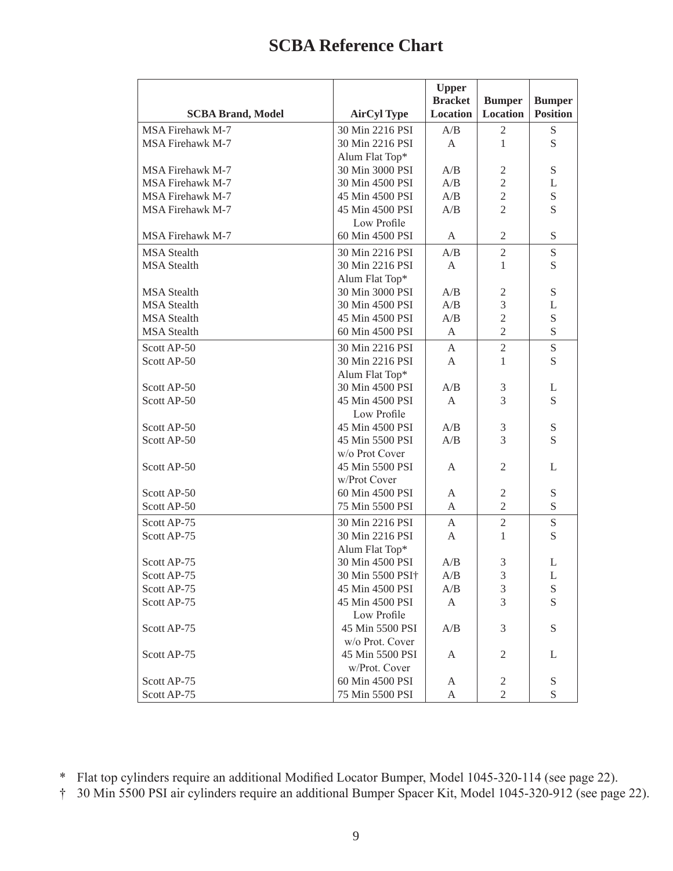### **SCBA Reference Chart**

|                          |                    | <b>Upper</b><br><b>Bracket</b> | <b>Bumper</b>               | <b>Bumper</b>              |
|--------------------------|--------------------|--------------------------------|-----------------------------|----------------------------|
| <b>SCBA Brand, Model</b> | <b>AirCyl Type</b> | Location                       | <b>Location</b>             | <b>Position</b>            |
| <b>MSA Firehawk M-7</b>  | 30 Min 2216 PSI    | A/B                            | 2                           | ${\mathcal S}$             |
| <b>MSA Firehawk M-7</b>  | 30 Min 2216 PSI    | A                              | $\mathbf{1}$                | S                          |
|                          | Alum Flat Top*     |                                |                             |                            |
| <b>MSA Firehawk M-7</b>  | 30 Min 3000 PSI    | A/B                            | $\overline{2}$              | S                          |
| <b>MSA Firehawk M-7</b>  | 30 Min 4500 PSI    | A/B                            | $\overline{2}$              | L                          |
| <b>MSA Firehawk M-7</b>  | 45 Min 4500 PSI    | A/B                            | $\overline{2}$              | S                          |
| <b>MSA Firehawk M-7</b>  | 45 Min 4500 PSI    | A/B                            | $\overline{2}$              | S                          |
|                          | Low Profile        |                                |                             |                            |
| MSA Firehawk M-7         | 60 Min 4500 PSI    | A                              | $\mathfrak{2}$              | S                          |
| <b>MSA</b> Stealth       | 30 Min 2216 PSI    | A/B                            | $\overline{2}$              | S                          |
| <b>MSA</b> Stealth       | 30 Min 2216 PSI    | A                              | 1                           | S                          |
|                          | Alum Flat Top*     |                                |                             |                            |
| <b>MSA</b> Stealth       | 30 Min 3000 PSI    | A/B                            | $\sqrt{2}$                  | S                          |
| <b>MSA</b> Stealth       | 30 Min 4500 PSI    | A/B                            | 3                           | L                          |
| <b>MSA</b> Stealth       | 45 Min 4500 PSI    | A/B                            | $\overline{c}$              | S                          |
| <b>MSA</b> Stealth       | 60 Min 4500 PSI    | A                              | $\overline{2}$              | S                          |
| Scott AP-50              | 30 Min 2216 PSI    | A                              | $\overline{2}$              | S                          |
| Scott AP-50              | 30 Min 2216 PSI    | A                              | $\mathbf{1}$                | S                          |
|                          | Alum Flat Top*     |                                |                             |                            |
| Scott AP-50              | 30 Min 4500 PSI    | A/B                            | 3                           | L                          |
| Scott AP-50              | 45 Min 4500 PSI    | $\mathbf{A}$                   | 3                           | S                          |
|                          | Low Profile        |                                |                             |                            |
| Scott AP-50              | 45 Min 4500 PSI    | A/B                            | 3                           | $\mathbf S$                |
| Scott AP-50              | 45 Min 5500 PSI    | A/B                            | 3                           | S                          |
|                          | w/o Prot Cover     |                                |                             |                            |
| Scott AP-50              | 45 Min 5500 PSI    | A                              | $\mathfrak{2}$              | L                          |
|                          | w/Prot Cover       |                                |                             |                            |
| Scott AP-50              | 60 Min 4500 PSI    | A                              | $\mathfrak{2}$              | $\mathbf S$                |
| Scott AP-50              | 75 Min 5500 PSI    | A                              | $\overline{2}$              | S                          |
| Scott AP-75              | 30 Min 2216 PSI    | A                              | $\sqrt{2}$                  | S                          |
| Scott AP-75              | 30 Min 2216 PSI    | A                              | 1                           | S                          |
|                          | Alum Flat Top*     |                                |                             |                            |
| Scott AP-75              | 30 Min 4500 PSI    | A/B                            | 3                           | L                          |
| Scott AP-75              | 30 Min 5500 PSI+   | A/B                            | 3                           | L                          |
| Scott AP-75              | 45 Min 4500 PSI    | A/B                            | $\ensuremath{\mathfrak{Z}}$ | S                          |
| Scott AP-75              | 45 Min 4500 PSI    | A                              | 3                           | S                          |
|                          | Low Profile        |                                |                             |                            |
| Scott AP-75              | 45 Min 5500 PSI    | A/B                            | 3                           | $\boldsymbol{\mathcal{S}}$ |
|                          | w/o Prot. Cover    |                                |                             |                            |
| Scott AP-75              | 45 Min 5500 PSI    | A                              | $\mathbf{2}$                | L                          |
|                          | w/Prot. Cover      |                                |                             |                            |
| Scott AP-75              | 60 Min 4500 PSI    | A                              | $\overline{c}$              | S                          |
| Scott AP-75              | 75 Min 5500 PSI    | A                              | $\overline{2}$              | $\mathbf S$                |

\* Flat top cylinders require an additional Modified Locator Bumper, Model 1045-320-114 (see page 22).

† 30 Min 5500 PSI air cylinders require an additional Bumper Spacer Kit, Model 1045-320-912 (see page 22).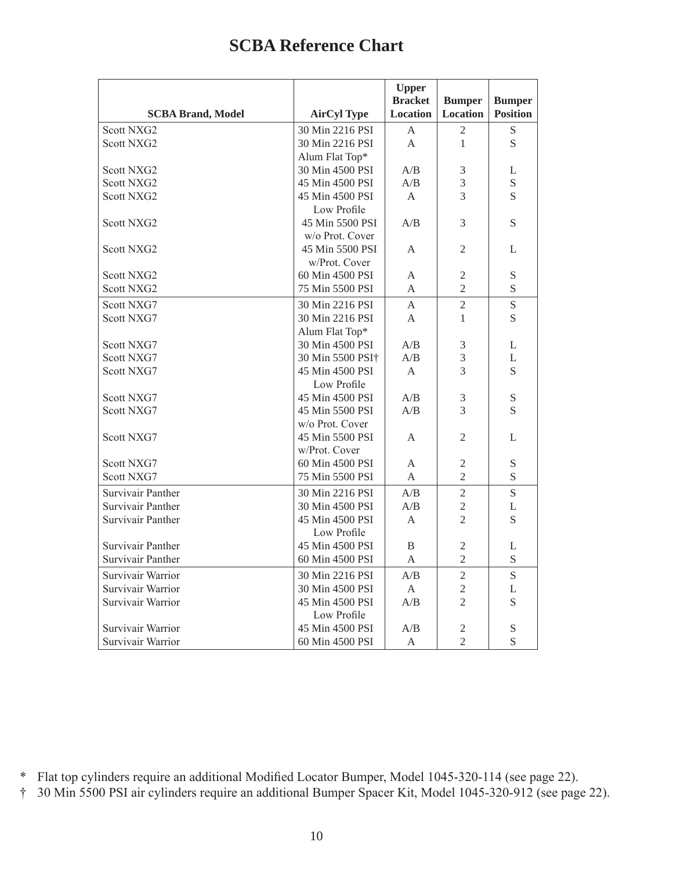### **SCBA Reference Chart**

|                          |                              | <b>Upper</b>    |                 |                 |
|--------------------------|------------------------------|-----------------|-----------------|-----------------|
|                          |                              | <b>Bracket</b>  | <b>Bumper</b>   | <b>Bumper</b>   |
| <b>SCBA Brand, Model</b> | <b>AirCyl Type</b>           | <b>Location</b> | <b>Location</b> | <b>Position</b> |
| Scott NXG2               | 30 Min 2216 PSI              | A               | 2               | S               |
| Scott NXG2               | 30 Min 2216 PSI              | $\overline{A}$  | $\mathbf{1}$    | S               |
|                          | Alum Flat Top*               |                 |                 |                 |
| Scott NXG2               | 30 Min 4500 PSI              | A/B             | $\mathfrak{Z}$  | L               |
| Scott NXG2               | 45 Min 4500 PSI              | A/B             | 3               | S               |
| Scott NXG2               | 45 Min 4500 PSI              | $\mathsf{A}$    | 3               | S               |
|                          | Low Profile                  |                 |                 |                 |
| Scott NXG2               | 45 Min 5500 PSI              | A/B             | 3               | S               |
|                          | w/o Prot. Cover              |                 |                 |                 |
| Scott NXG2               | 45 Min 5500 PSI              | A               | 2               | L               |
|                          | w/Prot. Cover                |                 |                 |                 |
| Scott NXG2               | 60 Min 4500 PSI              | A               | $\sqrt{2}$      | S               |
| Scott NXG2               | 75 Min 5500 PSI              | A               | $\overline{2}$  | S               |
| Scott NXG7               | 30 Min 2216 PSI              | A               | $\overline{2}$  | S               |
| Scott NXG7               | 30 Min 2216 PSI              | A               | 1               | S               |
|                          | Alum Flat Top*               |                 |                 |                 |
| Scott NXG7               | 30 Min 4500 PSI              | A/B             | 3               | L               |
| Scott NXG7               | 30 Min 5500 PSI <sup>+</sup> | A/B             | 3               | L               |
| Scott NXG7               | 45 Min 4500 PSI              | $\mathsf{A}$    | 3               | S               |
|                          | Low Profile                  |                 |                 |                 |
| Scott NXG7               | 45 Min 4500 PSI              | A/B             | 3               | S               |
| Scott NXG7               | 45 Min 5500 PSI              | A/B             | 3               | S               |
|                          | w/o Prot. Cover              |                 |                 |                 |
| Scott NXG7               | 45 Min 5500 PSI              | A               | 2               | L               |
|                          | w/Prot. Cover                |                 |                 |                 |
| Scott NXG7               | 60 Min 4500 PSI              | A               | $\mathfrak{2}$  | ${\bf S}$       |
| Scott NXG7               | 75 Min 5500 PSI              | A               | $\overline{2}$  | S               |
| Survivair Panther        | 30 Min 2216 PSI              | A/B             | $\overline{2}$  | S               |
| Survivair Panther        | 30 Min 4500 PSI              | A/B             | $\overline{2}$  | L               |
| Survivair Panther        | 45 Min 4500 PSI              | A               | $\overline{2}$  | S               |
|                          | Low Profile                  |                 |                 |                 |
| Survivair Panther        | 45 Min 4500 PSI              | B               | 2               | L               |
| Survivair Panther        | 60 Min 4500 PSI              | A               | $\overline{2}$  | S               |
| Survivair Warrior        | 30 Min 2216 PSI              | A/B             | $\overline{2}$  | S               |
| Survivair Warrior        | 30 Min 4500 PSI              | $\mathbf{A}$    | $\overline{2}$  | L               |
| Survivair Warrior        | 45 Min 4500 PSI              | A/B             | $\overline{2}$  | S               |
|                          | Low Profile                  |                 |                 |                 |
| Survivair Warrior        | 45 Min 4500 PSI              | A/B             | 2               | $\mathbf S$     |
| Survivair Warrior        | 60 Min 4500 PSI              | $\mathsf{A}$    | $\overline{2}$  | S               |

<sup>\*</sup> Flat top cylinders require an additional Modified Locator Bumper, Model 1045-320-114 (see page 22).

<sup>†</sup> 30 Min 5500 PSI air cylinders require an additional Bumper Spacer Kit, Model 1045-320-912 (see page 22).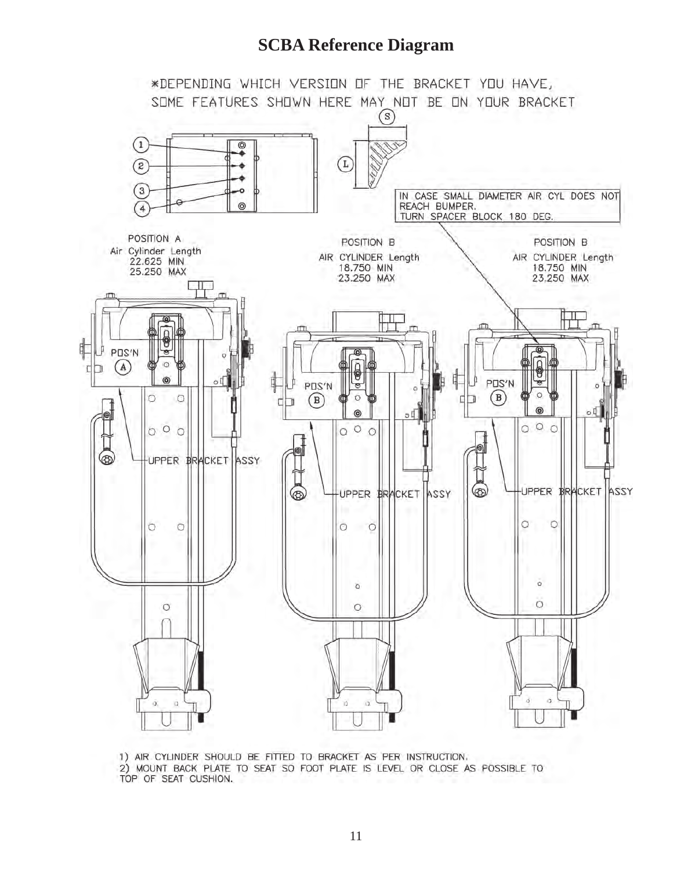#### **SCBA Reference Diagram**



1) AIR CYLINDER SHOULD BE FITTED TO BRACKET AS PER INSTRUCTION. 2) MOUNT BACK PLATE TO SEAT SO FOOT PLATE IS LEVEL OR CLOSE AS POSSIBLE TO TOP OF SEAT CUSHION.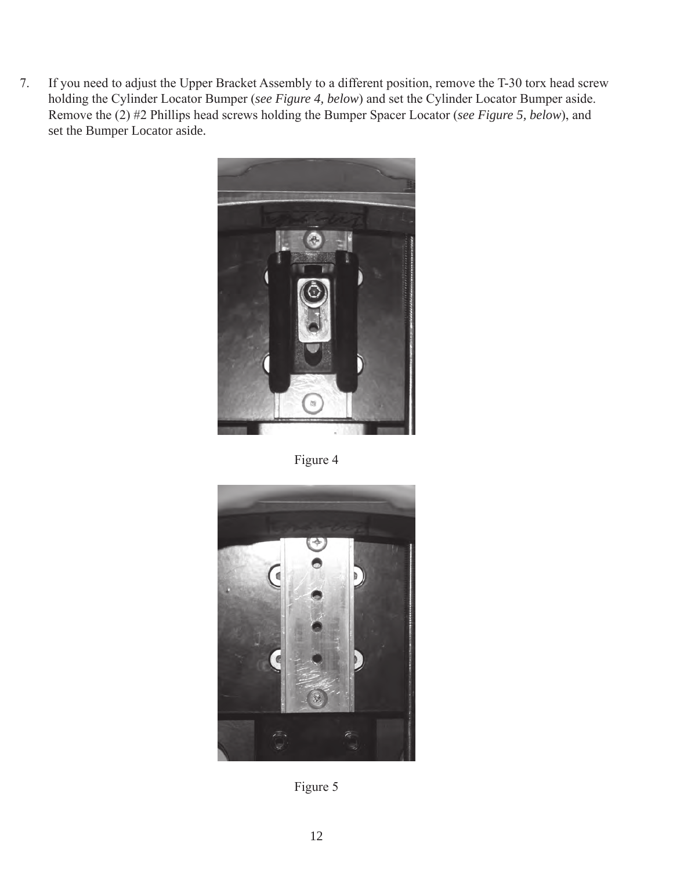7. If you need to adjust the Upper Bracket Assembly to a different position, remove the T-30 torx head screw holding the Cylinder Locator Bumper (*see Figure 4, below*) and set the Cylinder Locator Bumper aside. Remove the (2) #2 Phillips head screws holding the Bumper Spacer Locator (*see Figure 5, below*), and set the Bumper Locator aside.



Figure 4



Figure 5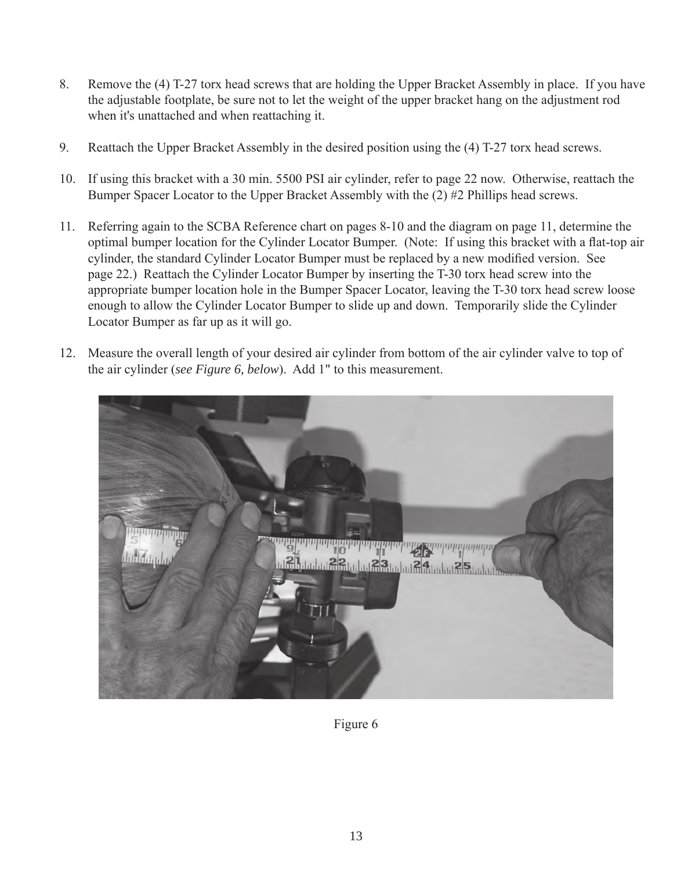- 8. Remove the (4) T-27 torx head screws that are holding the Upper Bracket Assembly in place. If you have the adjustable footplate, be sure not to let the weight of the upper bracket hang on the adjustment rod when it's unattached and when reattaching it.
- 9. Reattach the Upper Bracket Assembly in the desired position using the (4) T-27 torx head screws.
- 10. If using this bracket with a 30 min. 5500 PSI air cylinder, refer to page 22 now. Otherwise, reattach the Bumper Spacer Locator to the Upper Bracket Assembly with the (2) #2 Phillips head screws.
- 11. Referring again to the SCBA Reference chart on pages 8-10 and the diagram on page 11, determine the optimal bumper location for the Cylinder Locator Bumper. (Note: If using this bracket with a flat-top air cylinder, the standard Cylinder Locator Bumper must be replaced by a new modified version. See page 22.) Reattach the Cylinder Locator Bumper by inserting the T-30 torx head screw into the appropriate bumper location hole in the Bumper Spacer Locator, leaving the T-30 torx head screw loose enough to allow the Cylinder Locator Bumper to slide up and down. Temporarily slide the Cylinder Locator Bumper as far up as it will go.
- 12. Measure the overall length of your desired air cylinder from bottom of the air cylinder valve to top of the air cylinder (*see Figure 6, below*). Add 1" to this measurement.



Figure 6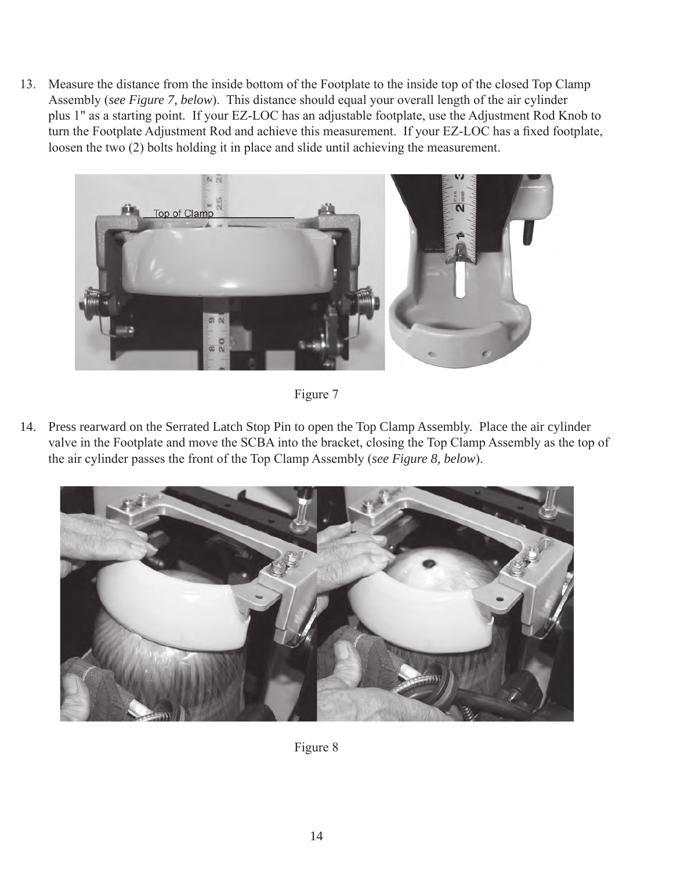13. Measure the distance from the inside bottom of the Footplate to the inside top of the closed Top Clamp Assembly (*see Figure 7, below*). This distance should equal your overall length of the air cylinder plus 1" as a starting point. If your EZ-LOC has an adjustable footplate, use the Adjustment Rod Knob to turn the Footplate Adjustment Rod and achieve this measurement. If your EZ-LOC has a fixed footplate, loosen the two (2) bolts holding it in place and slide until achieving the measurement.



Figure 7

14. Press rearward on the Serrated Latch Stop Pin to open the Top Clamp Assembly. Place the air cylinder valve in the Footplate and move the SCBA into the bracket, closing the Top Clamp Assembly as the top of the air cylinder passes the front of the Top Clamp Assembly (*see Figure 8, below*).



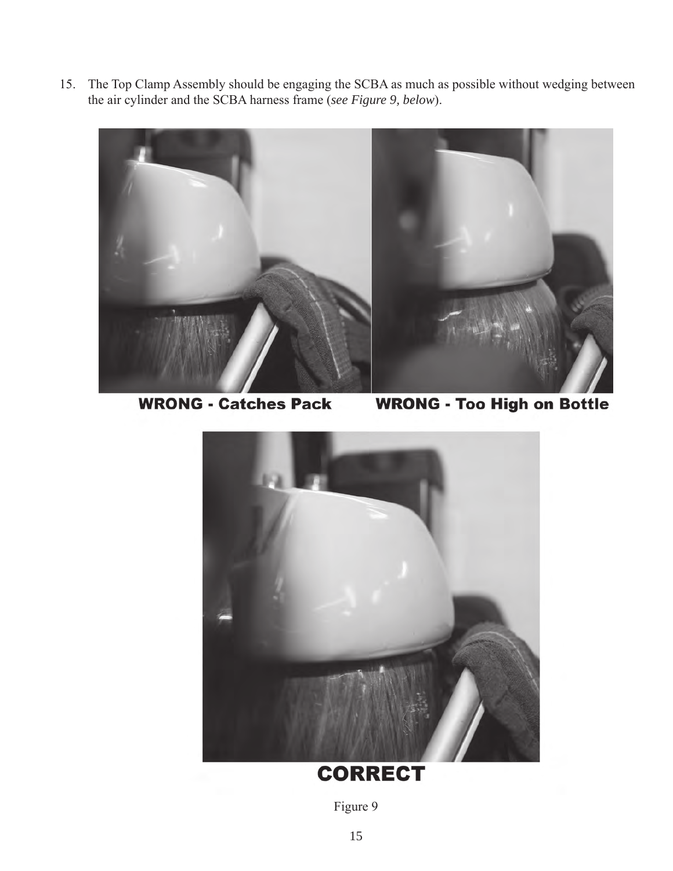15. The Top Clamp Assembly should be engaging the SCBA as much as possible without wedging between the air cylinder and the SCBA harness frame (*see Figure 9, below*).



**WRONG - Catches Pack** 

**WRONG - Too High on Bottle** 



## **CORRECT**

Figure 9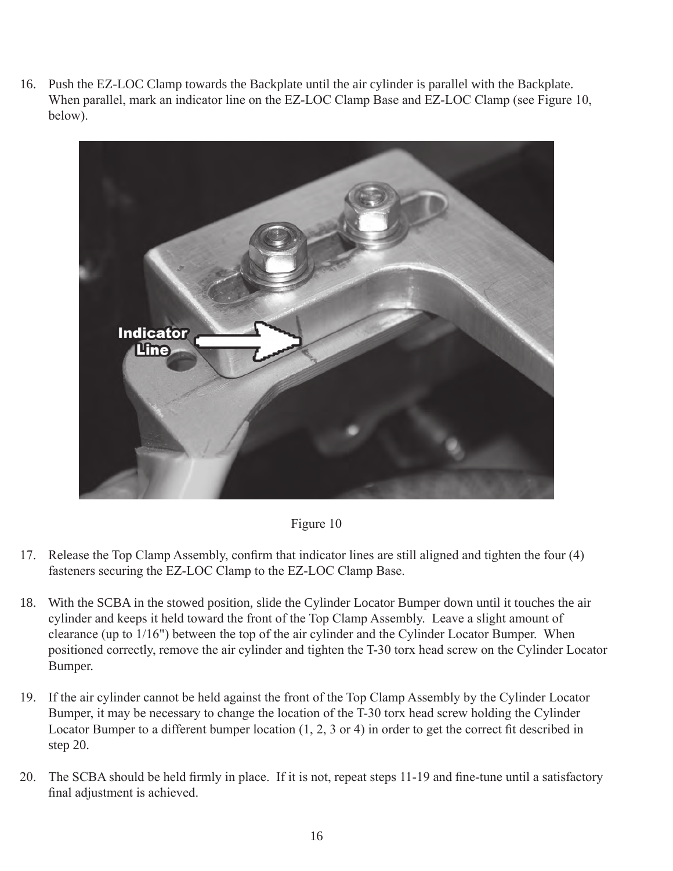16. Push the EZ-LOC Clamp towards the Backplate until the air cylinder is parallel with the Backplate. When parallel, mark an indicator line on the EZ-LOC Clamp Base and EZ-LOC Clamp (see Figure 10, below).



Figure 10

- 17. Release the Top Clamp Assembly, confirm that indicator lines are still aligned and tighten the four (4) fasteners securing the EZ-LOC Clamp to the EZ-LOC Clamp Base.
- 18. With the SCBA in the stowed position, slide the Cylinder Locator Bumper down until it touches the air cylinder and keeps it held toward the front of the Top Clamp Assembly. Leave a slight amount of clearance (up to 1/16") between the top of the air cylinder and the Cylinder Locator Bumper. When positioned correctly, remove the air cylinder and tighten the T-30 torx head screw on the Cylinder Locator Bumper.
- 19. If the air cylinder cannot be held against the front of the Top Clamp Assembly by the Cylinder Locator Bumper, it may be necessary to change the location of the T-30 torx head screw holding the Cylinder Locator Bumper to a different bumper location (1, 2, 3 or 4) in order to get the correct fit described in step 20.
- 20. The SCBA should be held firmly in place. If it is not, repeat steps 11-19 and fine-tune until a satisfactory final adjustment is achieved.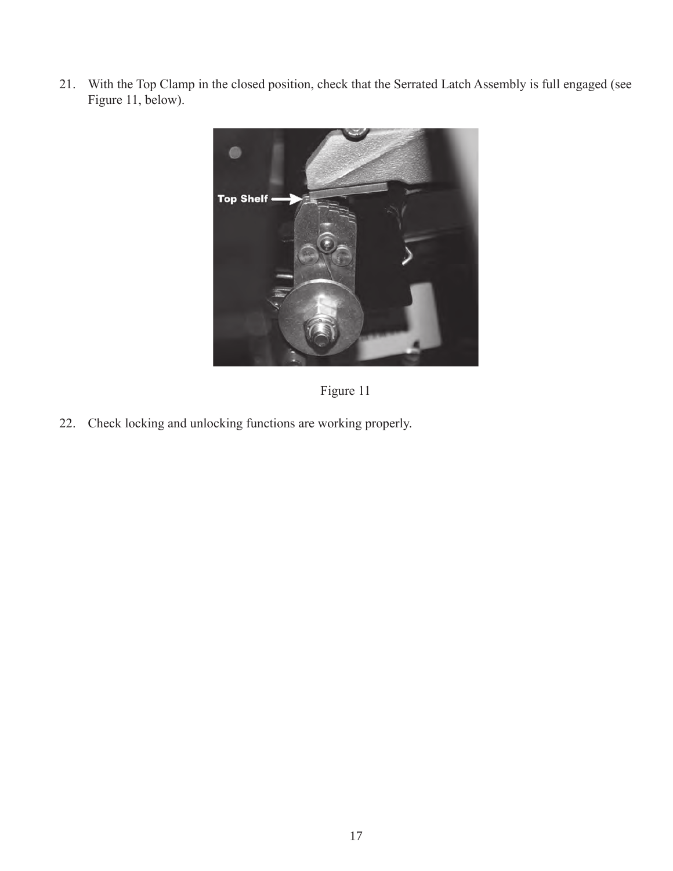21. With the Top Clamp in the closed position, check that the Serrated Latch Assembly is full engaged (see Figure 11, below).



Figure 11

22. Check locking and unlocking functions are working properly.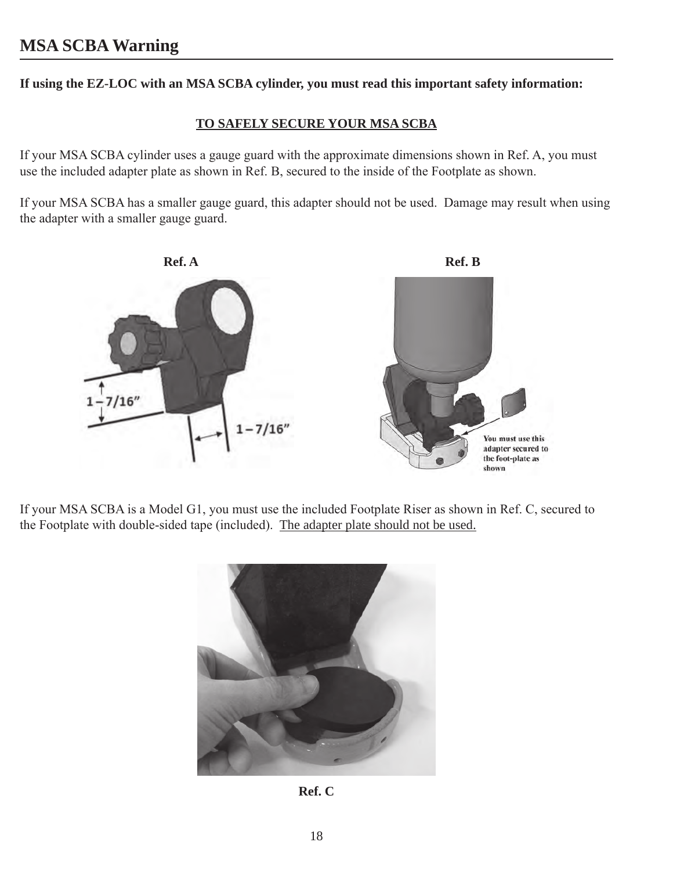**If using the EZ-LOC with an MSA SCBA cylinder, you must read this important safety information:**

#### **TO SAFELY SECURE YOUR MSA SCBA**

If your MSA SCBA cylinder uses a gauge guard with the approximate dimensions shown in Ref. A, you must use the included adapter plate as shown in Ref. B, secured to the inside of the Footplate as shown.

If your MSA SCBA has a smaller gauge guard, this adapter should not be used. Damage may result when using the adapter with a smaller gauge guard.



If your MSA SCBA is a Model G1, you must use the included Footplate Riser as shown in Ref. C, secured to the Footplate with double-sided tape (included). The adapter plate should not be used.



**Ref. C**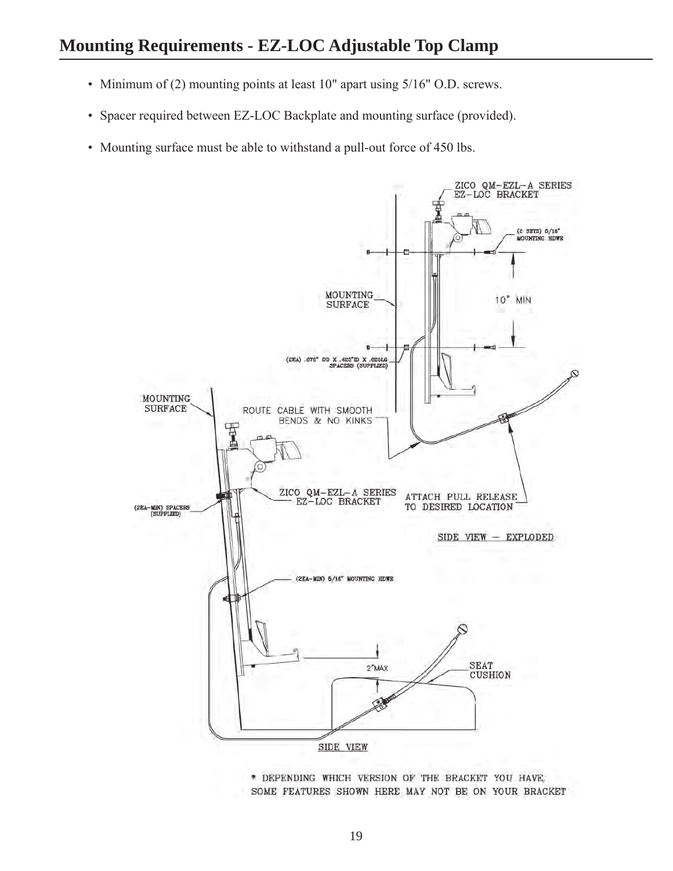- Minimum of (2) mounting points at least 10" apart using 5/16" O.D. screws.
- Spacer required between EZ-LOC Backplate and mounting surface (provided).
- Mounting surface must be able to withstand a pull-out force of 450 lbs.



\* DEPENDING WHICH VERSION OF THE BRACKET YOU HAVE, SOME FEATURES SHOWN HERE MAY NOT BE ON YOUR BRACKET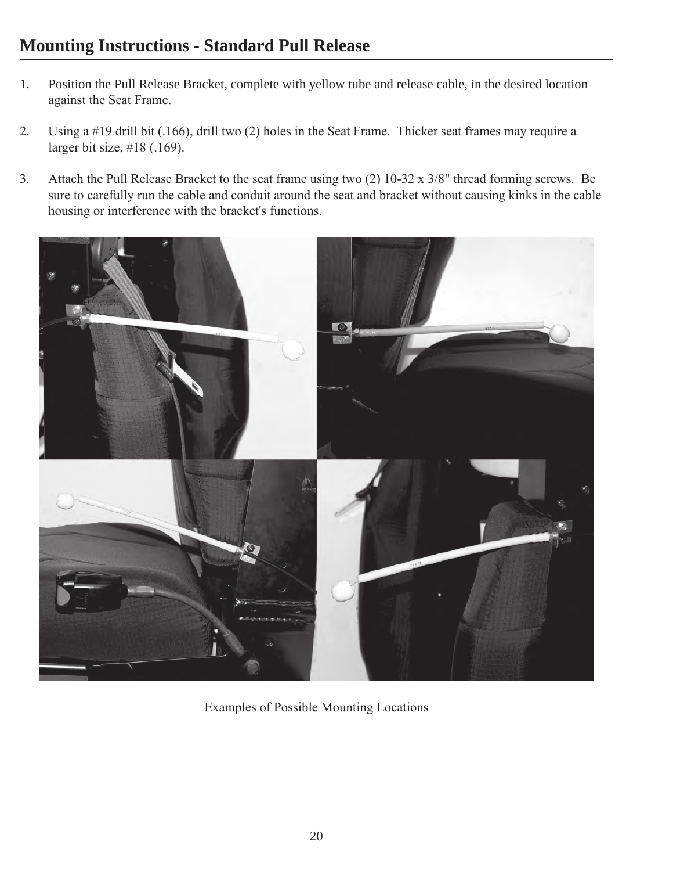#### **Mounting Instructions - Standard Pull Release**

- 1. Position the Pull Release Bracket, complete with yellow tube and release cable, in the desired location against the Seat Frame.
- 2. Using a #19 drill bit (.166), drill two (2) holes in the Seat Frame. Thicker seat frames may require a larger bit size, #18 (.169).
- 3. Attach the Pull Release Bracket to the seat frame using two (2) 10-32 x 3/8" thread forming screws. Be sure to carefully run the cable and conduit around the seat and bracket without causing kinks in the cable housing or interference with the bracket's functions.



Examples of Possible Mounting Locations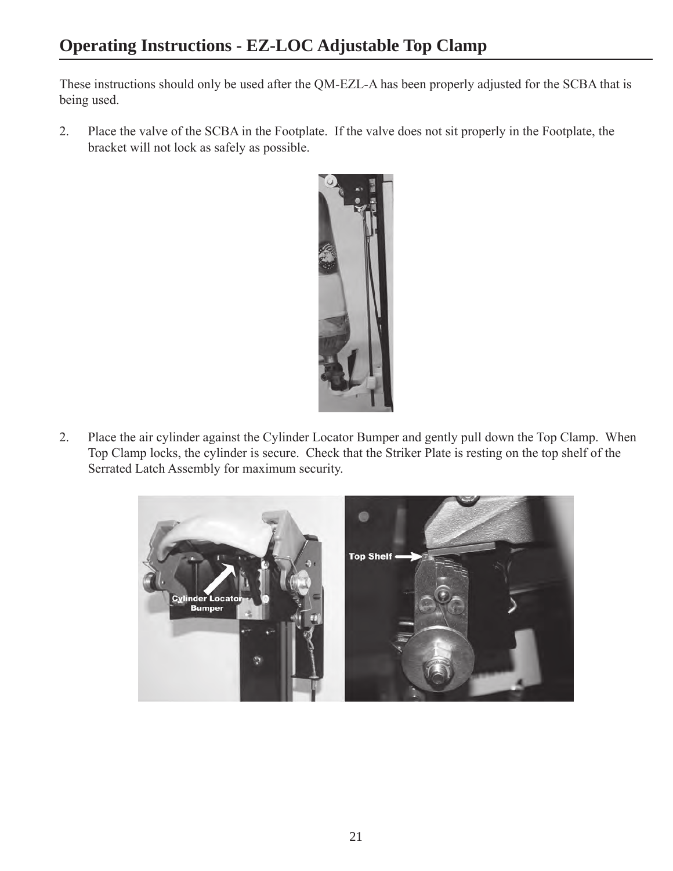These instructions should only be used after the QM-EZL-A has been properly adjusted for the SCBA that is being used.

2. Place the valve of the SCBA in the Footplate. If the valve does not sit properly in the Footplate, the bracket will not lock as safely as possible.



2. Place the air cylinder against the Cylinder Locator Bumper and gently pull down the Top Clamp. When Top Clamp locks, the cylinder is secure. Check that the Striker Plate is resting on the top shelf of the Serrated Latch Assembly for maximum security.